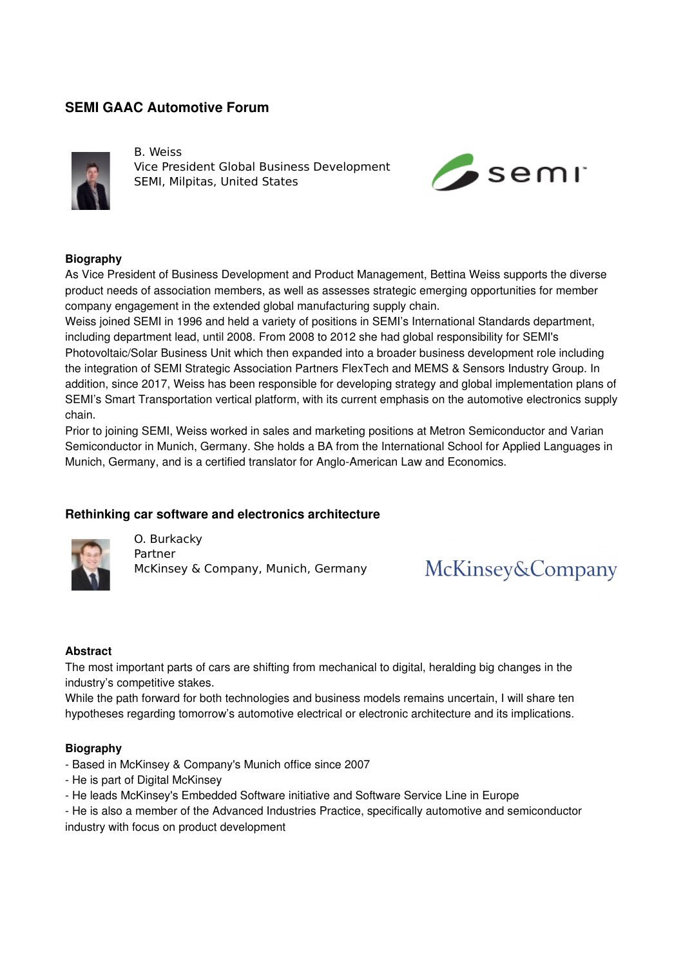## **SEMI GAAC Automotive Forum**



B. Weiss Vice President Global Business Development SEMI, Milpitas, United States



### **Biography**

As Vice President of Business Development and Product Management, Bettina Weiss supports the diverse product needs of association members, as well as assesses strategic emerging opportunities for member company engagement in the extended global manufacturing supply chain.

Weiss joined SEMI in 1996 and held a variety of positions in SEMI's International Standards department, including department lead, until 2008. From 2008 to 2012 she had global responsibility for SEMI's Photovoltaic/Solar Business Unit which then expanded into a broader business development role including the integration of SEMI Strategic Association Partners FlexTech and MEMS & Sensors Industry Group. In addition, since 2017, Weiss has been responsible for developing strategy and global implementation plans of SEMI's Smart Transportation vertical platform, with its current emphasis on the automotive electronics supply chain.

Prior to joining SEMI, Weiss worked in sales and marketing positions at Metron Semiconductor and Varian Semiconductor in Munich, Germany. She holds a BA from the International School for Applied Languages in Munich, Germany, and is a certified translator for Anglo-American Law and Economics.

## **Rethinking car software and electronics architecture**



O. Burkacky Partner McKinsey & Company, Munich, Germany

**McKinsey&Company** 

#### **Abstract**

The most important parts of cars are shifting from mechanical to digital, heralding big changes in the industry's competitive stakes.

While the path forward for both technologies and business models remains uncertain, I will share ten hypotheses regarding tomorrow's automotive electrical or electronic architecture and its implications.

#### **Biography**

- Based in McKinsey & Company's Munich office since 2007
- He is part of Digital McKinsey
- He leads McKinsey's Embedded Software initiative and Software Service Line in Europe

 He is also a member of the Advanced Industries Practice, specifically automotive and semiconductor industry with focus on product development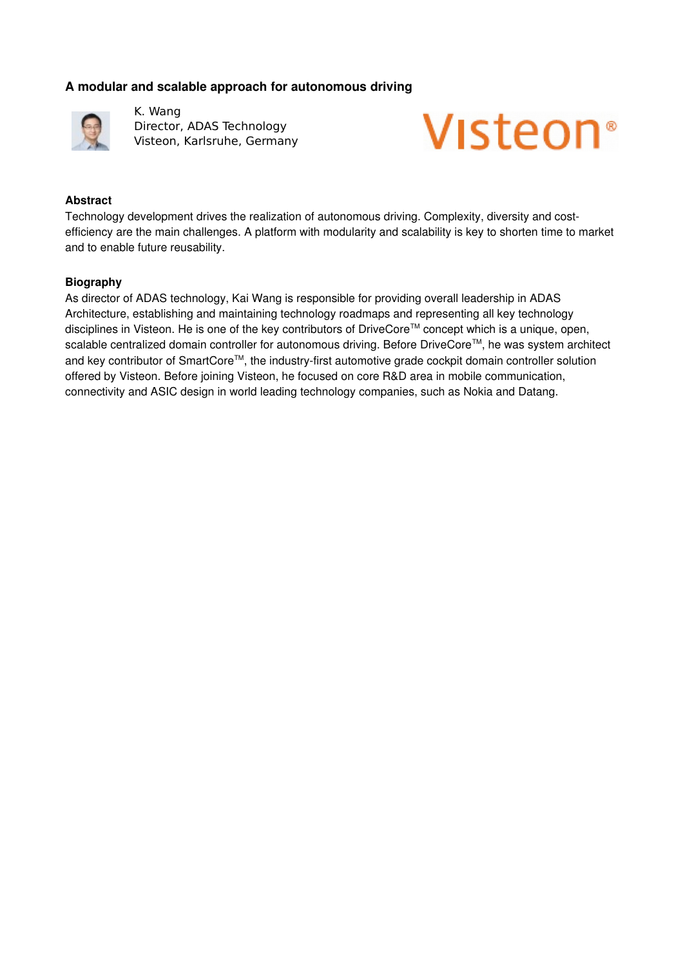## **A modular and scalable approach for autonomous driving**



K. Wang Director, ADAS Technology Visteon, Karlsruhe, Germany



### **Abstract**

Technology development drives the realization of autonomous driving. Complexity, diversity and costefficiency are the main challenges. A platform with modularity and scalability is key to shorten time to market and to enable future reusability.

#### **Biography**

As director of ADAS technology, Kai Wang is responsible for providing overall leadership in ADAS Architecture, establishing and maintaining technology roadmaps and representing all key technology disciplines in Visteon. He is one of the key contributors of DriveCore™ concept which is a unique, open, scalable centralized domain controller for autonomous driving. Before DriveCore™, he was system architect and key contributor of SmartCore™, the industry-first automotive grade cockpit domain controller solution offered by Visteon. Before joining Visteon, he focused on core R&D area in mobile communication, connectivity and ASIC design in world leading technology companies, such as Nokia and Datang.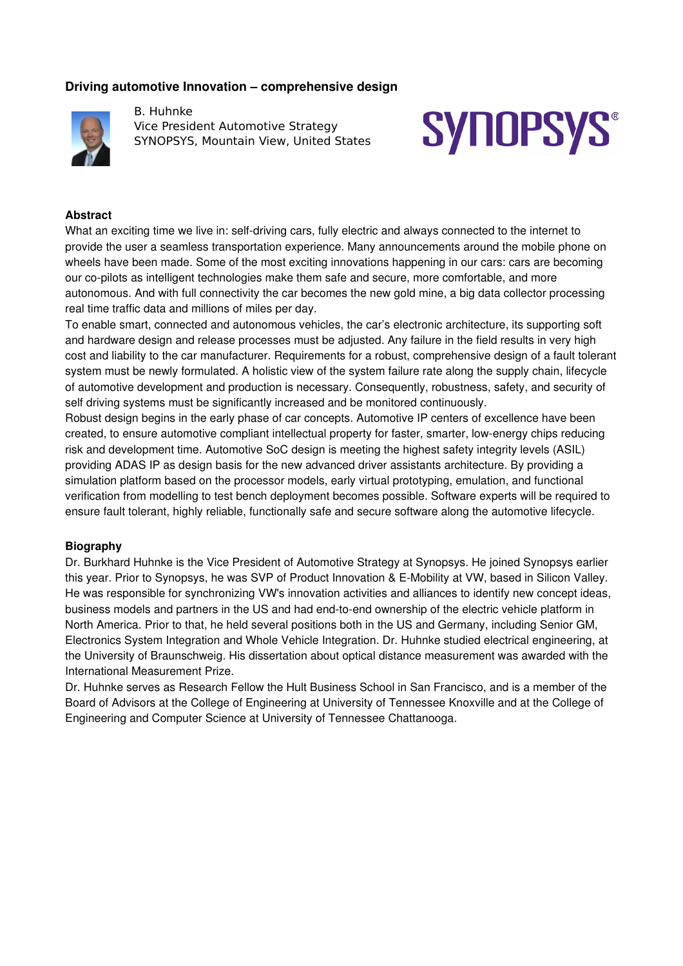### **Driving automotive Innovation – comprehensive design**



B. Huhnke Vice President Automotive Strategy SYNOPSYS, Mountain View, United States

# **SYNOPSYS®**

#### **Abstract**

What an exciting time we live in: self-driving cars, fully electric and always connected to the internet to provide the user a seamless transportation experience. Many announcements around the mobile phone on wheels have been made. Some of the most exciting innovations happening in our cars: cars are becoming our co-pilots as intelligent technologies make them safe and secure, more comfortable, and more autonomous. And with full connectivity the car becomes the new gold mine, a big data collector processing real time traffic data and millions of miles per day.

To enable smart, connected and autonomous vehicles, the car's electronic architecture, its supporting soft and hardware design and release processes must be adjusted. Any failure in the field results in very high cost and liability to the car manufacturer. Requirements for a robust, comprehensive design of a fault tolerant system must be newly formulated. A holistic view of the system failure rate along the supply chain, lifecycle of automotive development and production is necessary. Consequently, robustness, safety, and security of self driving systems must be significantly increased and be monitored continuously.

Robust design begins in the early phase of car concepts. Automotive IP centers of excellence have been created, to ensure automotive compliant intellectual property for faster, smarter, lowenergy chips reducing risk and development time. Automotive SoC design is meeting the highest safety integrity levels (ASIL) providing ADAS IP as design basis for the new advanced driver assistants architecture. By providing a simulation platform based on the processor models, early virtual prototyping, emulation, and functional verification from modelling to test bench deployment becomes possible. Software experts will be required to ensure fault tolerant, highly reliable, functionally safe and secure software along the automotive lifecycle.

#### **Biography**

Dr. Burkhard Huhnke is the Vice President of Automotive Strategy at Synopsys. He joined Synopsys earlier this year. Prior to Synopsys, he was SVP of Product Innovation & E-Mobility at VW, based in Silicon Valley. He was responsible for synchronizing VW's innovation activities and alliances to identify new concept ideas, business models and partners in the US and had end-to-end ownership of the electric vehicle platform in North America. Prior to that, he held several positions both in the US and Germany, including Senior GM, Electronics System Integration and Whole Vehicle Integration. Dr. Huhnke studied electrical engineering, at the University of Braunschweig. His dissertation about optical distance measurement was awarded with the International Measurement Prize.

Dr. Huhnke serves as Research Fellow the Hult Business School in San Francisco, and is a member of the Board of Advisors at the College of Engineering at University of Tennessee Knoxville and at the College of Engineering and Computer Science at University of Tennessee Chattanooga.